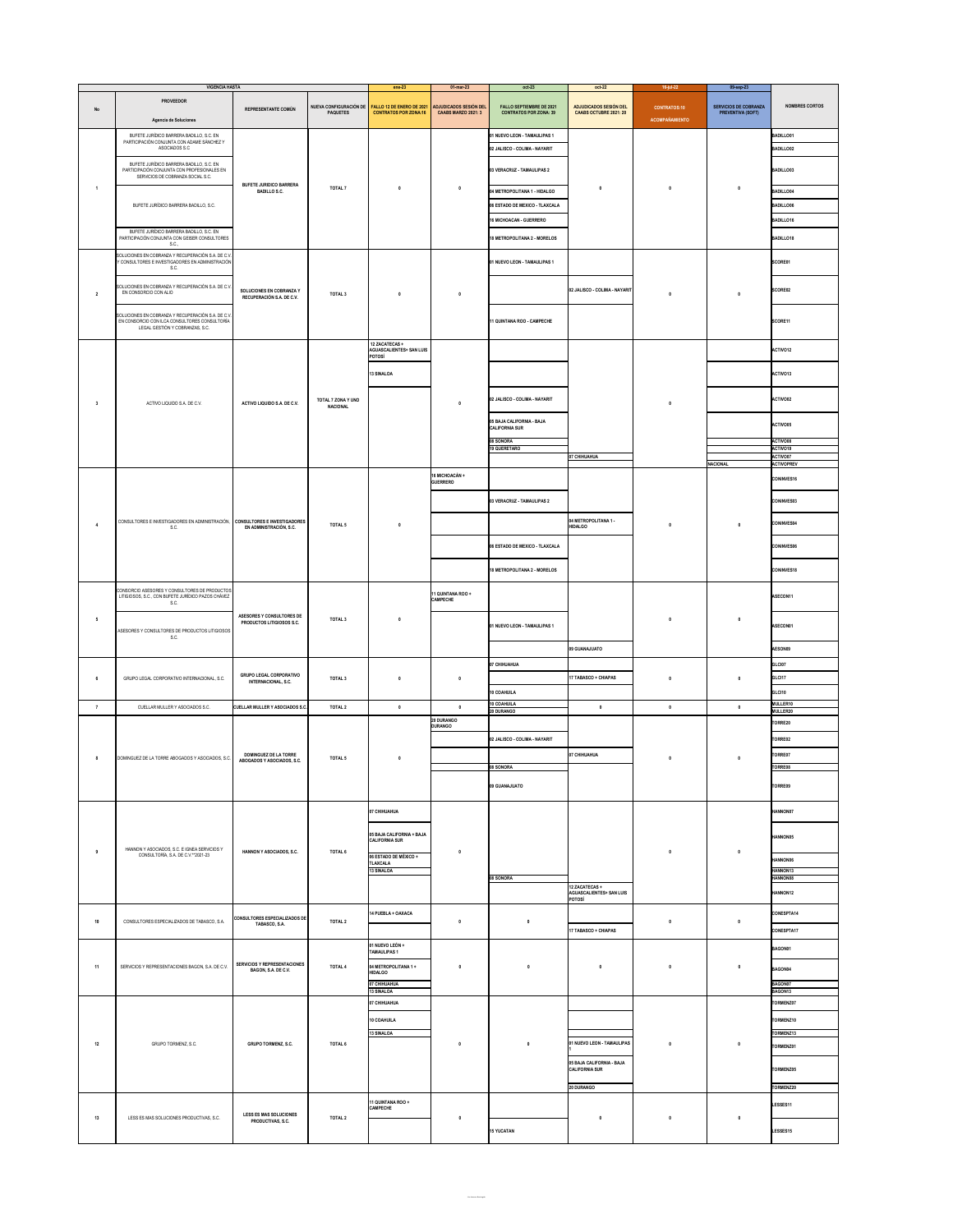|              | <b>VIGENCIA HASTA</b>                                                                                                        |                                                               |                    | $ene-23$                                                                                                | $01$ -mar-23               | $oct-23$                                                         | $oct-22$                                                       | 16-jul-22                             | 09-sep-23                                                |                               |
|--------------|------------------------------------------------------------------------------------------------------------------------------|---------------------------------------------------------------|--------------------|---------------------------------------------------------------------------------------------------------|----------------------------|------------------------------------------------------------------|----------------------------------------------------------------|---------------------------------------|----------------------------------------------------------|-------------------------------|
| No           | <b>PROVEEDOR</b><br>Agencia de Soluciones                                                                                    | REPRESENTANTE COMÚN                                           | <b>PAQUETES</b>    | NUEVA CONFIGURACIÓN DE FALLO 12 DE ENERO DE 2021 ADJUDICADOS SESIÓN DEL<br><b>CONTRATOS POR ZONA:16</b> | <b>CAABS MARZO 2021: 3</b> | <b>FALLO SEPTIEMBRE DE 2021</b><br><b>CONTRATOS POR ZONA: 39</b> | <b>ADJUDICADOS SESIÓN DEL</b><br><b>CAABS OCTUBRE 2021: 20</b> | <b>CONTRATOS:10</b><br>ACOMPAÑAMIENTO | <b>SERVICIOS DE COBRANZA</b><br><b>PREVENTIVA (SOFT)</b> | <b>NOMBRES CORTOS</b>         |
|              | BUFETE JURÍDICO BARRERA BADILLO, S.C. EN                                                                                     |                                                               |                    |                                                                                                         |                            | 01 NUEVO LEON - TAMAULIPAS 1                                     |                                                                |                                       |                                                          | <b>BADILLO01</b>              |
|              | PARTICIPACIÓN CONJUNTA CON ADAME SÁNCHEZ Y<br>ASOCIADOS S.C                                                                  |                                                               |                    |                                                                                                         |                            | 02 JALISCO - COLIMA - NAYARIT                                    |                                                                |                                       |                                                          | <b>BADILLO02</b>              |
|              | BUFETE JURÍDICO BARRERA BADILLO, S.C. EN<br>PARTICIPACIÓN CONJUNTA CON PROFESIONALES EN<br>SERVICIOS DE COBRANZA SOCIAL S.C. |                                                               |                    |                                                                                                         |                            | 03 VERACRUZ - TAMAULIPAS 2                                       |                                                                |                                       |                                                          | <b>BADILLO03</b>              |
|              | BUFETE JURÍDICO BARRERA BADILLO, S.C.                                                                                        | <b>BUFETE JURIDICO BARRERA</b><br><b>BADILLO S.C.</b>         | <b>TOTAL 7</b>     |                                                                                                         |                            | 04 METROPOLITANA 1 - HIDALGO                                     |                                                                |                                       |                                                          | <b>BADILLO04</b>              |
|              |                                                                                                                              |                                                               |                    |                                                                                                         |                            | 06 ESTADO DE MEXICO - TLAXCALA                                   |                                                                |                                       |                                                          | <b>BADILLO06</b>              |
|              |                                                                                                                              |                                                               |                    |                                                                                                         |                            | <b>16 MICHOACAN - GUERRERO</b>                                   |                                                                |                                       |                                                          | <b>BADILLO16</b>              |
|              | BUFETE JURÍDICO BARRERA BADILLO, S.C. EN<br>PARTICIPACIÓN CONJUNTA CON GEISER CONSULTORES                                    |                                                               |                    |                                                                                                         |                            | 18 METROPOLITANA 2 - MORELOS                                     |                                                                |                                       |                                                          | <b>BADILLO18</b>              |
|              | S.C.,<br>SOLUCIONES EN COBRANZA Y RECUPERACIÓN S.A. DE C.V.                                                                  |                                                               |                    |                                                                                                         |                            |                                                                  |                                                                |                                       |                                                          |                               |
| $\mathbf{2}$ | Y CONSULTORES E INVESTIGADORES EN ADMINISTRACIÓN<br>S.C.                                                                     | <b>SOLUCIONES EN COBRANZA Y</b><br>RECUPERACIÓN S.A. DE C.V.  | TOTAL <sub>3</sub> |                                                                                                         |                            | 01 NUEVO LEON - TAMAULIPAS 1                                     |                                                                |                                       |                                                          | SCORE01                       |
|              | SOLUCIONES EN COBRANZA Y RECUPERACIÓN S.A. DE C.V.                                                                           |                                                               |                    |                                                                                                         |                            |                                                                  | 02 JALISCO - COLIMA - NAYARIT                                  |                                       |                                                          |                               |
|              | EN CONSORCIO CON ALIO                                                                                                        |                                                               |                    |                                                                                                         |                            |                                                                  |                                                                |                                       |                                                          | <b>SCORE02</b>                |
|              | SOLUCIONES EN COBRANZA Y RECUPERACIÓN S.A. DE C.V.                                                                           |                                                               |                    |                                                                                                         |                            |                                                                  |                                                                |                                       |                                                          |                               |
|              | EN CONSORCIO CON ILCA CONSULTORES CONSULTORÍA<br>LEGAL GESTIÓN Y COBRANZAS, S.C.                                             |                                                               |                    |                                                                                                         |                            | 11 QUINTANA ROO - CAMPECHE                                       |                                                                |                                       |                                                          | SCORE11                       |
|              |                                                                                                                              |                                                               |                    | 12 ZACATECAS +<br><b>AGUASCALIENTES+ SAN LUIS</b>                                                       |                            |                                                                  |                                                                |                                       |                                                          | ACTIVO12                      |
|              |                                                                                                                              |                                                               |                    | <b>POTOSÍ</b>                                                                                           |                            |                                                                  |                                                                |                                       |                                                          |                               |
|              |                                                                                                                              |                                                               |                    | <b>13 SINALOA</b>                                                                                       |                            |                                                                  |                                                                |                                       |                                                          | ACTIVO13                      |
|              |                                                                                                                              |                                                               | TOTAL 7 ZONA Y UNO |                                                                                                         |                            | 02 JALISCO - COLIMA - NAYARIT                                    |                                                                |                                       |                                                          | ACTIVO02                      |
|              | ACTIVO LIQUIDO S.A. DE C.V.                                                                                                  | <b>ACTIVO LIQUIDO S.A. DE C.V.</b>                            | <b>NACIONAL</b>    |                                                                                                         |                            |                                                                  |                                                                |                                       |                                                          |                               |
|              |                                                                                                                              |                                                               |                    |                                                                                                         |                            | 05 BAJA CALIFORNIA - BAJA<br><b>CALIFORNIA SUR</b>               |                                                                |                                       |                                                          | ACTIVO05                      |
|              |                                                                                                                              |                                                               |                    |                                                                                                         |                            | 08 SONORA<br><b>19 QUERETARO</b>                                 |                                                                |                                       |                                                          | ACTIVO08<br>ACTIVO19          |
|              |                                                                                                                              |                                                               |                    |                                                                                                         |                            |                                                                  | 07 CHIHUAHUA                                                   |                                       | <b>NACIONAL</b>                                          | ACTIVO07<br><b>ACTIVOPREV</b> |
|              |                                                                                                                              |                                                               |                    |                                                                                                         | 16 MICHOACÁN +             |                                                                  |                                                                |                                       |                                                          | <b>CONINVES16</b>             |
|              |                                                                                                                              |                                                               |                    |                                                                                                         | <b>GUERRERO</b>            |                                                                  |                                                                |                                       |                                                          |                               |
|              | CONSULTORES E INVESTIGADORES EN ADMINISTRACIÓN, CONSULTORES E INVESTIGADORES<br>S.C.                                         | EN ADMINISTRACIÓN, S.C.                                       | <b>TOTAL 5</b>     |                                                                                                         |                            | 03 VERACRUZ - TAMAULIPAS 2                                       | 04 METROPOLITANA 1 -<br><b>HIDALGO</b>                         |                                       |                                                          | <b>CONINVES03</b>             |
|              |                                                                                                                              |                                                               |                    |                                                                                                         |                            |                                                                  |                                                                |                                       |                                                          | <b>CONINVES04</b>             |
|              |                                                                                                                              |                                                               |                    |                                                                                                         |                            | 06 ESTADO DE MEXICO - TLAXCALA                                   |                                                                |                                       |                                                          | <b>CONINVES06</b>             |
|              |                                                                                                                              |                                                               |                    |                                                                                                         |                            |                                                                  |                                                                |                                       |                                                          |                               |
|              |                                                                                                                              |                                                               |                    |                                                                                                         |                            | <b>18 METROPOLITANA 2 - MORELOS</b>                              |                                                                |                                       |                                                          | <b>CONINVES18</b>             |
|              | CONSORCIO ASESORES Y CONSULTORES DE PRODUCTOS                                                                                |                                                               |                    |                                                                                                         | 11 QUINTANA ROO +          |                                                                  |                                                                |                                       |                                                          |                               |
|              | LITIGIOSOS, S.C., CON BUFETE JURÍDICO PAZOS CHÁVEZ<br>S.C.                                                                   |                                                               |                    |                                                                                                         | <b>CAMPECHE</b>            |                                                                  |                                                                |                                       |                                                          | ASECON11                      |
|              | ASESORES Y CONSULTORES DE PRODUCTOS LITIGIOSOS<br>S.C.                                                                       | ASESORES Y CONSULTORES DE<br><b>PRODUCTOS LITIGIOSOS S.C.</b> | TOTAL <sub>3</sub> |                                                                                                         |                            | 01 NUEVO LEON - TAMAULIPAS 1                                     |                                                                |                                       |                                                          | ASECON01                      |
|              |                                                                                                                              |                                                               |                    |                                                                                                         |                            |                                                                  |                                                                |                                       |                                                          |                               |
|              |                                                                                                                              |                                                               |                    |                                                                                                         |                            |                                                                  | 09 GUANAJUATO                                                  |                                       |                                                          | AESON09                       |
|              | GRUPO LEGAL CORPORATIVO INTERNACIONAL, S.C.                                                                                  | <b>GRUPO LEGAL CORPORATIVO</b><br><b>INTERNACIONAL, S.C.</b>  | TOTAL <sub>3</sub> |                                                                                                         |                            | 07 CHIHUAHUA                                                     |                                                                |                                       |                                                          | GLCI07                        |
|              |                                                                                                                              |                                                               |                    |                                                                                                         |                            |                                                                  | <b>17 TABASCO + CHIAPAS</b>                                    |                                       |                                                          | GLCI17                        |
|              |                                                                                                                              |                                                               |                    |                                                                                                         |                            | 10 COAHUILA<br><b>10 COAHUILA</b>                                |                                                                |                                       |                                                          | GLCI10<br>MULLER10            |
|              | CUELLAR MULLER Y ASOCIADOS S.C.                                                                                              | <b>CUELLAR MULLER Y ASOCIADOS S.C.</b>                        | <b>TOTAL 2</b>     |                                                                                                         | <b>20 DURANGO</b>          | <b>20 DURANGO</b>                                                |                                                                |                                       |                                                          | MULLER20                      |
|              |                                                                                                                              |                                                               |                    |                                                                                                         | <b>DURANGO</b>             |                                                                  | 07 CHIHUAHUA                                                   |                                       |                                                          | TORRE20                       |
|              | DOMINGUEZ DE LA TORRE ABOGADOS Y ASOCIADOS, S.C.                                                                             | <b>DOMINGUEZ DE LA TORRE</b><br>ABOGADOS Y ASOCIADOS, S.C.    | <b>TOTAL 5</b>     |                                                                                                         |                            | 02 JALISCO - COLIMA - NAYARIT                                    |                                                                |                                       |                                                          | TORRE02                       |
|              |                                                                                                                              |                                                               |                    |                                                                                                         |                            | 08 SONORA                                                        |                                                                |                                       |                                                          | TORRE07<br>TORRE08            |
|              |                                                                                                                              |                                                               |                    |                                                                                                         |                            |                                                                  |                                                                |                                       |                                                          |                               |
|              |                                                                                                                              |                                                               |                    |                                                                                                         |                            | 09 GUANAJUATO                                                    |                                                                |                                       |                                                          | TORRE09                       |
|              | HANNON Y ASOCIADOS, S.C. E IGNEA SERVICIOS Y<br>CONSULTORÍA, S.A. DE C.V.**2021-23                                           | <b>HANNON Y ASOCIADOS, S.C.</b>                               | <b>TOTAL 6</b>     | 07 CHIHUAHUA                                                                                            |                            |                                                                  |                                                                |                                       |                                                          | <b>HANNON07</b>               |
|              |                                                                                                                              |                                                               |                    |                                                                                                         |                            |                                                                  |                                                                |                                       |                                                          |                               |
|              |                                                                                                                              |                                                               |                    | 05 BAJA CALIFORNIA + BAJA<br><b>CALIFORNIA SUR</b>                                                      |                            |                                                                  |                                                                |                                       |                                                          | <b>HANNON05</b>               |
|              |                                                                                                                              |                                                               |                    | 06 ESTADO DE MÉXICO +<br><b>TLAXCALA</b>                                                                |                            |                                                                  |                                                                |                                       |                                                          | <b>HANNON06</b>               |
|              |                                                                                                                              |                                                               |                    | <b>13 SINALOA</b>                                                                                       |                            | 08 SONORA                                                        |                                                                |                                       |                                                          | <b>HANNON13</b><br>HANNON08   |
|              |                                                                                                                              |                                                               |                    |                                                                                                         |                            |                                                                  | 12 ZACATECAS +<br><b>AGUASCALIENTES+ SAN LUIS</b>              |                                       |                                                          | <b>HANNON12</b>               |
|              |                                                                                                                              |                                                               |                    | 14 PUEBLA + OAXACA                                                                                      |                            |                                                                  | POTOSÍ                                                         |                                       |                                                          | CONESPTA14                    |
| 10           | CONSULTORES ESPECIALIZADOS DE TABASCO, S.A.                                                                                  | <b>CONSULTORES ESPECIALIZADOS DE</b><br>TABASCO, S.A.         | <b>TOTAL 2</b>     |                                                                                                         |                            |                                                                  | <b>17 TABASCO + CHIAPAS</b>                                    |                                       |                                                          | <b>CONESPTA17</b>             |
|              | SERVICIOS Y REPRESENTACIONES BAGON, S.A. DE C.V.                                                                             | SERVICIOS Y REPRESENTACIONES<br>BAGON, S.A. DE C.V.           | <b>TOTAL 4</b>     | 01 NUEVO LEÓN +                                                                                         |                            |                                                                  |                                                                |                                       |                                                          |                               |
|              |                                                                                                                              |                                                               |                    | <b>TAMAULIPAS 1</b>                                                                                     |                            |                                                                  |                                                                |                                       |                                                          | BAGON01                       |
| 11           |                                                                                                                              |                                                               |                    | 04 METROPOLITANA 1 +<br><b>HIDALGO</b>                                                                  |                            |                                                                  |                                                                |                                       | BAGON04                                                  |                               |
|              |                                                                                                                              |                                                               |                    | 07 CHIHUAHUA<br><b>13 SINALOA</b>                                                                       |                            |                                                                  |                                                                |                                       |                                                          | BAGON07<br>BAGON13            |
|              | GRUPO TORMENZ, S.C.                                                                                                          | <b>GRUPO TORMENZ, S.C.</b>                                    | <b>TOTAL 6</b>     | 07 CHIHUAHUA                                                                                            |                            |                                                                  |                                                                |                                       |                                                          | TORMENZ07                     |
| 12           |                                                                                                                              |                                                               |                    | <b>10 COAHUILA</b>                                                                                      |                            |                                                                  |                                                                |                                       |                                                          | TORMENZ10                     |
|              |                                                                                                                              |                                                               |                    | <b>13 SINALOA</b>                                                                                       |                            |                                                                  | 01 NUEVO LEON - TAMAULIPAS                                     |                                       |                                                          | TORMENZ13                     |
|              |                                                                                                                              |                                                               |                    |                                                                                                         |                            |                                                                  |                                                                |                                       |                                                          | TORMENZ01                     |
|              |                                                                                                                              |                                                               |                    |                                                                                                         |                            |                                                                  | 05 BAJA CALIFORNIA - BAJA<br><b>CALIFORNIA SUR</b>             |                                       |                                                          | TORMENZ05                     |
|              |                                                                                                                              |                                                               |                    |                                                                                                         |                            |                                                                  | <b>20 DURANGO</b>                                              |                                       |                                                          | TORMENZ20                     |
| 13           | LESS ES MAS SOLUCIONES PRODUCTIVAS, S.C.                                                                                     | <b>LESS ES MAS SOLUCIONES</b><br>PRODUCTIVAS, S.C.            | <b>TOTAL 2</b>     | 11 QUINTANA ROO +                                                                                       |                            |                                                                  |                                                                |                                       |                                                          | LESSES11                      |
|              |                                                                                                                              |                                                               |                    | <b>CAMPECHE</b>                                                                                         |                            |                                                                  |                                                                |                                       |                                                          |                               |
|              |                                                                                                                              |                                                               |                    |                                                                                                         |                            | <b>15 YUCATAN</b>                                                |                                                                |                                       |                                                          | LESSES15                      |
|              |                                                                                                                              |                                                               |                    |                                                                                                         |                            |                                                                  |                                                                |                                       |                                                          |                               |